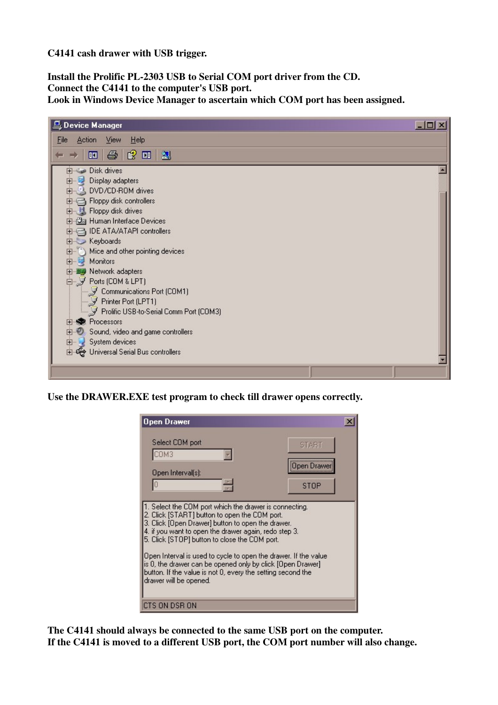**C4141 cash drawer with USB trigger.**

**Install the Prolific PL-2303 USB to Serial COM port driver from the CD. Connect the C4141 to the computer's USB port. Look in Windows Device Manager to ascertain which COM port has been assigned.**

| 鳥 Device Manager                        | $\Box$ |
|-----------------------------------------|--------|
| Action View<br>He<br>File               |        |
| $\bigoplus$<br> 2012<br>晅               |        |
| <b>Ellisse</b> Disk drives              |        |
| Display adapters<br>田 尾                 |        |
| 由 2 DVD/CD-ROM drives                   |        |
| 由一个 Floppy disk controllers             |        |
| Floppy disk drives                      |        |
| 由 La Human Interface Devices            |        |
| 由日 IDE ATA/ATAPI controllers            |        |
| Electric Keyboards                      |        |
| 由 (b) Mice and other pointing devices   |        |
| 由早<br>Monitors                          |        |
| 田 图 Network adapters                    |        |
| 白少 Ports (COM & LPT)                    |        |
| Communications Port (COM1)              |        |
| - Y Printer Port (LPT1)                 |        |
| Prolific USB-to-Serial Comm Port (COM3) |        |
| <b>Red</b> Processors<br>田              |        |
| 由 Sound, video and game controllers     |        |
| E-System devices                        |        |
|                                         |        |
|                                         |        |
|                                         |        |

**Use the DRAWER.EXE test program to check till drawer opens correctly.**

| Open Drawer                                                                                                                                                                                                                                                                                                                                                                                                                                                                                     |                                    |  |
|-------------------------------------------------------------------------------------------------------------------------------------------------------------------------------------------------------------------------------------------------------------------------------------------------------------------------------------------------------------------------------------------------------------------------------------------------------------------------------------------------|------------------------------------|--|
| Select COM port<br>ОМЗ<br>Open Interval[s]:                                                                                                                                                                                                                                                                                                                                                                                                                                                     | <b>START</b><br>iOpen Drai<br>STOP |  |
| . Select the COM port which the drawer is connecting.<br>2. Click [START] button to open the COM port.<br>3. Click [Open Drawer] button to open the drawer.<br>4. if you want to open the drawer again, redo step 3.<br>5. Click [STOP] button to close the COM port.<br>Open Interval is used to cycle to open the drawer. If the value<br>is 0, the drawer can be opened only by click [Open Drawer]<br>button. If the value is not 0, every the setting second the<br>drawer will be opened. |                                    |  |
| CTS ON DSR ON                                                                                                                                                                                                                                                                                                                                                                                                                                                                                   |                                    |  |

**The C4141 should always be connected to the same USB port on the computer. If the C4141 is moved to a different USB port, the COM port number will also change.**